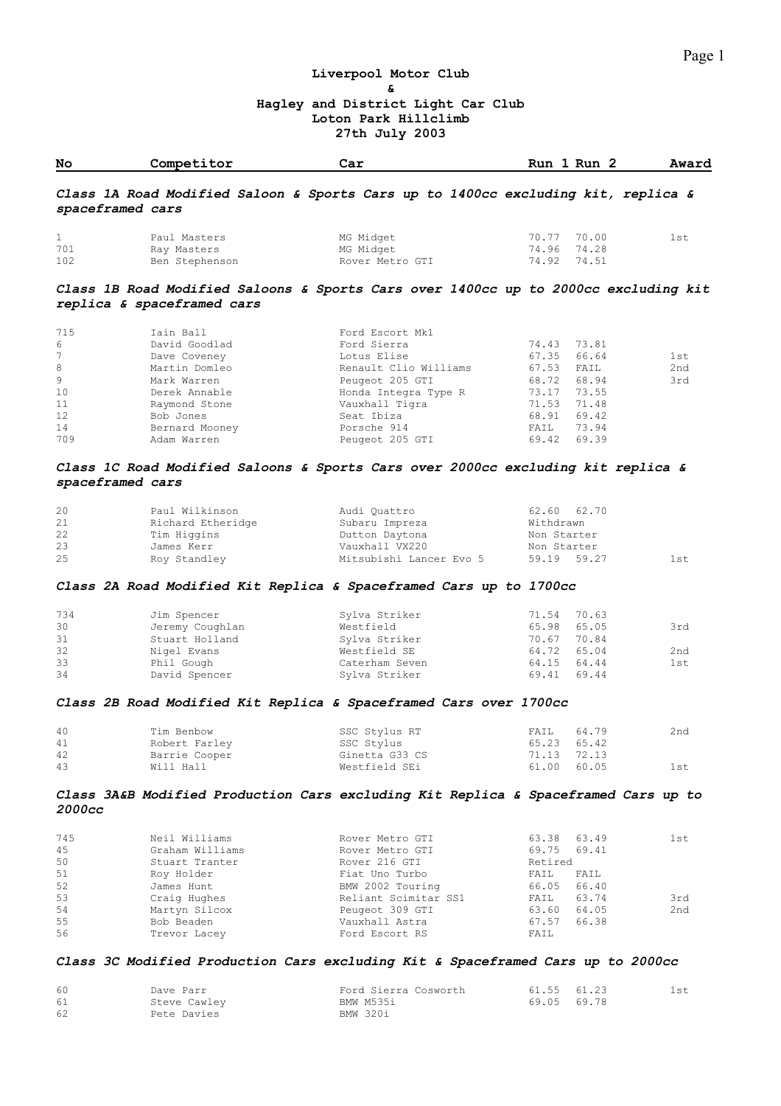# **Liverpool Motor Club & Hagley and District Light Car Club Loton Park Hillclimb 27th July 2003**

| No | Competitor              | Car | Run 1 Run 2                                                                       | Award |
|----|-------------------------|-----|-----------------------------------------------------------------------------------|-------|
|    | <i>spaceframed cars</i> |     | Class 1A Road Modified Saloon & Sports Cars up to 1400cc excluding kit, replica & |       |

|     | Paul Masters   | MG Midget       | 70.77 70.00 | lst |
|-----|----------------|-----------------|-------------|-----|
| 701 | Ray Masters    | MG Midget       | 74.96 74.28 |     |
| 102 | Ben Stephenson | Rover Metro GTI | 74.92 74.51 |     |

# *Class 1B Road Modified Saloons & Sports Cars over 1400cc up to 2000cc excluding kit replica & spaceframed cars*

| 715 | Iain Ball      | Ford Escort Mk1       |       |       |     |
|-----|----------------|-----------------------|-------|-------|-----|
| 6   | David Goodlad  | Ford Sierra           | 74.43 | 73.81 |     |
| 7   | Dave Coveney   | Lotus Elise           | 67.35 | 66.64 | 1st |
| 8   | Martin Domleo  | Renault Clio Williams | 67.53 | FAIL  | 2nd |
| 9   | Mark Warren    | Peugeot 205 GTI       | 68.72 | 68.94 | 3rd |
| 10  | Derek Annable  | Honda Integra Type R  | 73.17 | 73.55 |     |
| 11  | Raymond Stone  | Vauxhall Tigra        | 71.53 | 71.48 |     |
| 12  | Bob Jones      | Seat Ibiza            | 68.91 | 69.42 |     |
| 14  | Bernard Mooney | Porsche 914           | FAIL  | 73.94 |     |
| 709 | Adam Warren    | Peugeot 205 GTI       | 69.42 | 69.39 |     |

### *Class 1C Road Modified Saloons & Sports Cars over 2000cc excluding kit replica & spaceframed cars*

| 20 | Paul Wilkinson    | Audi Quattro            | 62.60 62.70        |
|----|-------------------|-------------------------|--------------------|
| 21 | Richard Etheridge | Subaru Impreza          | Withdrawn          |
| 22 | Tim Hiqqins       | Dutton Daytona          | Non Starter        |
| 23 | James Kerr        | Vauxhall VX220          | Non Starter        |
| 25 | Roy Standley      | Mitsubishi Lancer Evo 5 | 59.19 59.27<br>1st |

# *Class 2A Road Modified Kit Replica & Spaceframed Cars up to 1700cc*

| 734 | Jim Spencer     | Sylva Striker  |             | 71.54 70.63 |     |
|-----|-----------------|----------------|-------------|-------------|-----|
| 30  | Jeremy Coughlan | Westfield      | 65.98       | 65.05       | 3rd |
| 31  | Stuart Holland  | Sylva Striker  | 70.67       | 70.84       |     |
| 32  | Nigel Evans     | Westfield SE   | 64.72 65.04 |             | 2nd |
| 33  | Phil Gough      | Caterham Seven | 64.15       | 64.44       | 1st |
| 34  | David Spencer   | Sylva Striker  |             | 69.41 69.44 |     |

# *Class 2B Road Modified Kit Replica & Spaceframed Cars over 1700cc*

| 40 | Tim Benbow    | SSC Stylus RT  | FAIL        | 64.79 | 2nd |
|----|---------------|----------------|-------------|-------|-----|
| 41 | Robert Farley | SSC Stylus     | 65.23 65.42 |       |     |
| 42 | Barrie Cooper | Ginetta G33 CS | 71.13 72.13 |       |     |
| 43 | Will Hall     | Westfield SEi  | 61.00 60.05 |       | lst |

#### *Class 3A&B Modified Production Cars excluding Kit Replica & Spaceframed Cars up to 2000cc*

| 745 | Neil Williams   | Rover Metro GTI      | 63.38 63.49 |       | 1st |
|-----|-----------------|----------------------|-------------|-------|-----|
| 45  | Graham Williams | Rover Metro GTI      | 69.75 69.41 |       |     |
| 50  | Stuart Tranter  | Rover 216 GTI        | Retired     |       |     |
| 51  | Roy Holder      | Fiat Uno Turbo       | FAIL        | FAIL  |     |
| 52  | James Hunt      | BMW 2002 Touring     | 66.05       | 66.40 |     |
| 53  | Craig Hughes    | Reliant Scimitar SS1 | FAIL        | 63.74 | 3rd |
| -54 | Martyn Silcox   | Peugeot 309 GTI      | 63.60       | 64.05 | 2nd |
| 55  | Bob Beaden      | Vauxhall Astra       | 67.57       | 66.38 |     |
| 56  | Trevor Lacey    | Ford Escort RS       | FAIL        |       |     |

#### *Class 3C Modified Production Cars excluding Kit & Spaceframed Cars up to 2000cc*

| 60 | Dave Parr    | Ford Sierra Cosworth | 61.55 61.23 |       | lst |
|----|--------------|----------------------|-------------|-------|-----|
| 61 | Steve Cawley | BMW M535i            | 69.05       | 69.78 |     |
| 62 | Pete Davies  | BMW 320i             |             |       |     |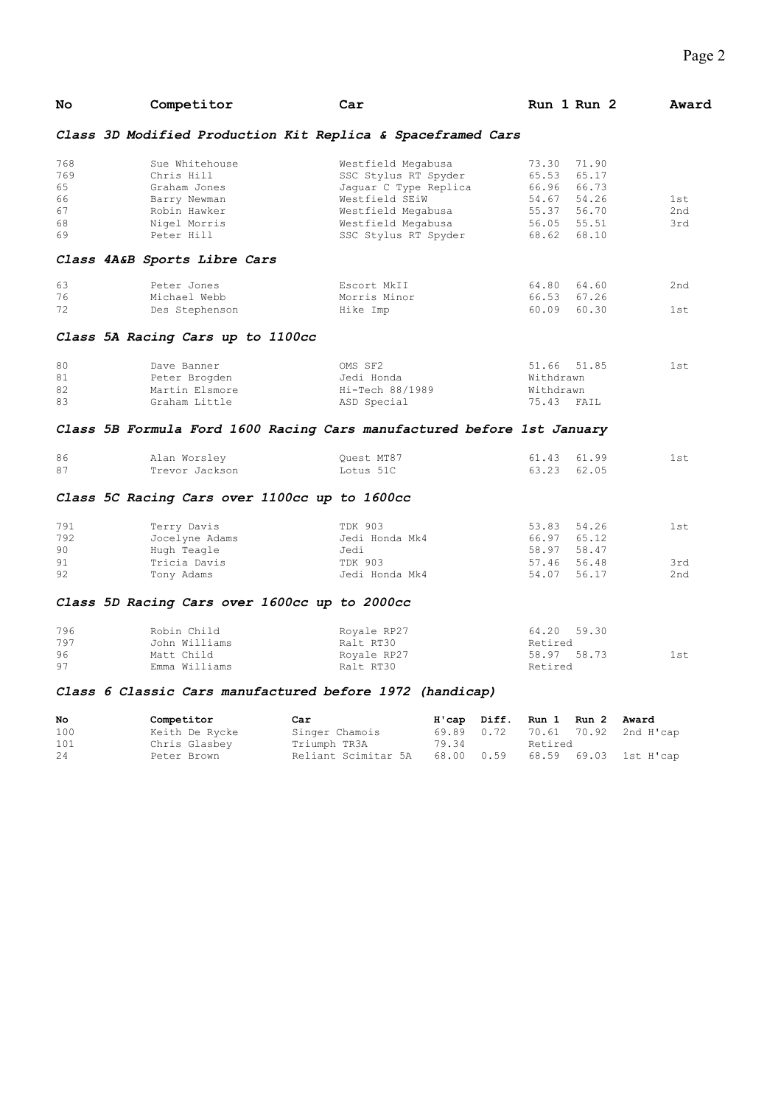| No                                       | Competitor                                                                                                 | Car                                                                                                                                                       |                                                             | Run 1 Run 2                                                 | Award             |
|------------------------------------------|------------------------------------------------------------------------------------------------------------|-----------------------------------------------------------------------------------------------------------------------------------------------------------|-------------------------------------------------------------|-------------------------------------------------------------|-------------------|
|                                          | Class 3D Modified Production Kit Replica & Spaceframed Cars                                                |                                                                                                                                                           |                                                             |                                                             |                   |
| 768<br>769<br>65<br>66<br>67<br>68<br>69 | Sue Whitehouse<br>Chris Hill<br>Graham Jones<br>Barry Newman<br>Robin Hawker<br>Nigel Morris<br>Peter Hill | Westfield Megabusa<br>SSC Stylus RT Spyder<br>Jaquar C Type Replica<br>Westfield SEiW<br>Westfield Megabusa<br>Westfield Megabusa<br>SSC Stylus RT Spyder | 73.30<br>65.53<br>66.96<br>54.67<br>55.37<br>56.05<br>68.62 | 71.90<br>65.17<br>66.73<br>54.26<br>56.70<br>55.51<br>68.10 | 1st<br>2nd<br>3rd |
|                                          | Class 4A&B Sports Libre Cars                                                                               |                                                                                                                                                           |                                                             |                                                             |                   |
| 63<br>76<br>72                           | Peter Jones<br>Michael Webb<br>Des Stephenson                                                              | Escort MkII<br>Morris Minor<br>Hike Imp                                                                                                                   | 64.80<br>66.53<br>60.09                                     | 64.60<br>67.26<br>60.30                                     | 2nd<br>1st        |
|                                          | Class 5A Racing Cars up to 1100cc                                                                          |                                                                                                                                                           |                                                             |                                                             |                   |
| 80<br>81<br>82<br>83                     | Dave Banner<br>Peter Brogden<br>Martin Elsmore<br>Graham Little                                            | OMS SF2<br>Jedi Honda<br>Hi-Tech 88/1989<br>ASD Special                                                                                                   | 51.66 51.85<br>Withdrawn<br>Withdrawn<br>75.43              | FAIL                                                        | 1st               |
|                                          | Class 5B Formula Ford 1600 Racing Cars manufactured before 1st January                                     |                                                                                                                                                           |                                                             |                                                             |                   |
| 86<br>87                                 | Alan Worsley<br>Trevor Jackson                                                                             | Ouest MT87<br>Lotus 51C                                                                                                                                   | 61.43<br>63.23                                              | 61.99<br>62.05                                              | 1st               |
|                                          | Class 5C Racing Cars over 1100cc up to 1600cc                                                              |                                                                                                                                                           |                                                             |                                                             |                   |
| 791<br>792<br>$\Omega$ $\Omega$          | Terry Davis<br>Jocelyne Adams<br>$\mathbb{Z}$                                                              | TDK 903<br>Jedi Honda Mk4<br>$T \cap A$                                                                                                                   | 53.83<br>66.97<br>50 Q7                                     | 54.26<br>65.12<br>50 17                                     | 1st               |

# 90 Hugh Teagle Jedi 58.97 58.47 91 Tricia Davis TDK 903 57.46 56.48 3rd 92 Tony Adams Jedi Honda Mk4 54.07 56.17 2nd

# *Class 5D Racing Cars over 1600cc up to 2000cc*

| 796 | Robin Child   | Royale RP27 | 64.20 59.30 |     |
|-----|---------------|-------------|-------------|-----|
| 797 | John Williams | Ralt RT30   | Retired     |     |
| 96  | Matt Child    | Royale RP27 | 58.97 58.73 | lst |
| 97  | Emma Williams | Ralt RT30   | Retired     |     |

# *Class 6 Classic Cars manufactured before 1972 (handicap)*

| No  | Competitor     | Car                 | H'cap Diff. |         | Run 1 Run 2 Award |                                  |
|-----|----------------|---------------------|-------------|---------|-------------------|----------------------------------|
| 100 | Keith De Rycke | Singer Chamois      |             |         |                   | 69.89 0.72 70.61 70.92 2nd H'cap |
| 101 | Chris Glasbey  | Triumph TR3A        | 79.34       | Retired |                   |                                  |
| 24  | Peter Brown    | Reliant Scimitar 5A | 68.00 0.59  |         |                   | 68.59 69.03 1st H'cap            |